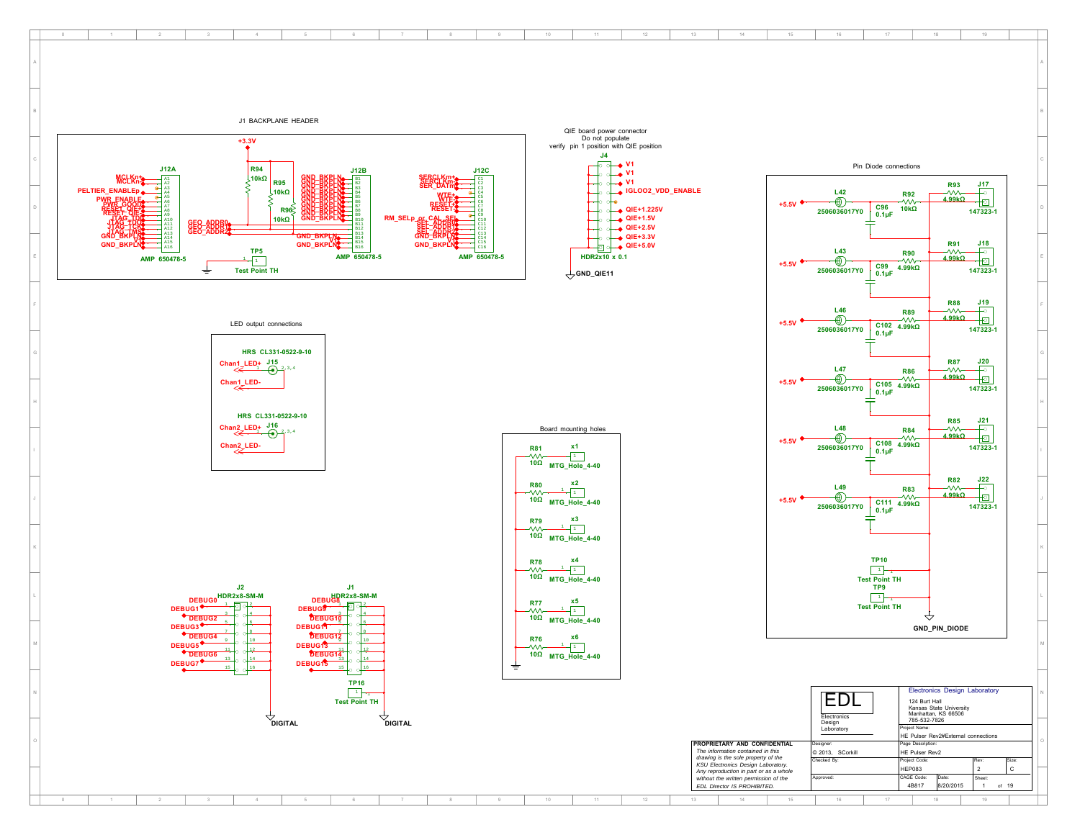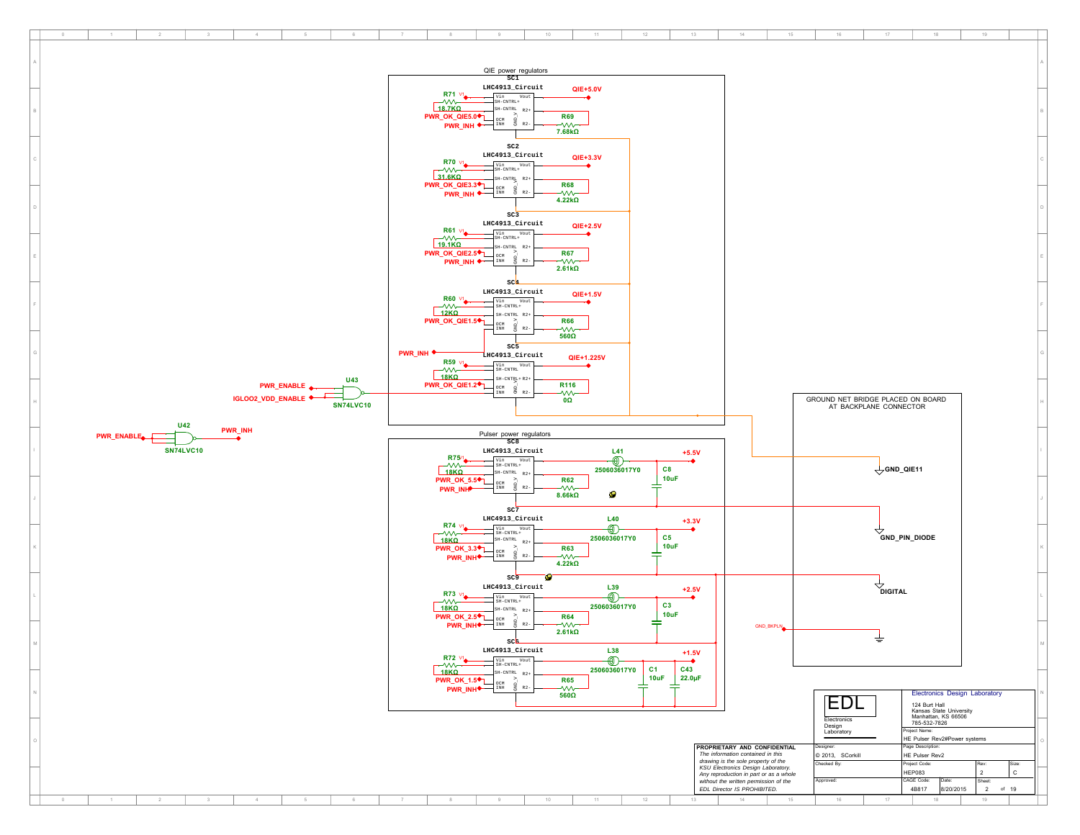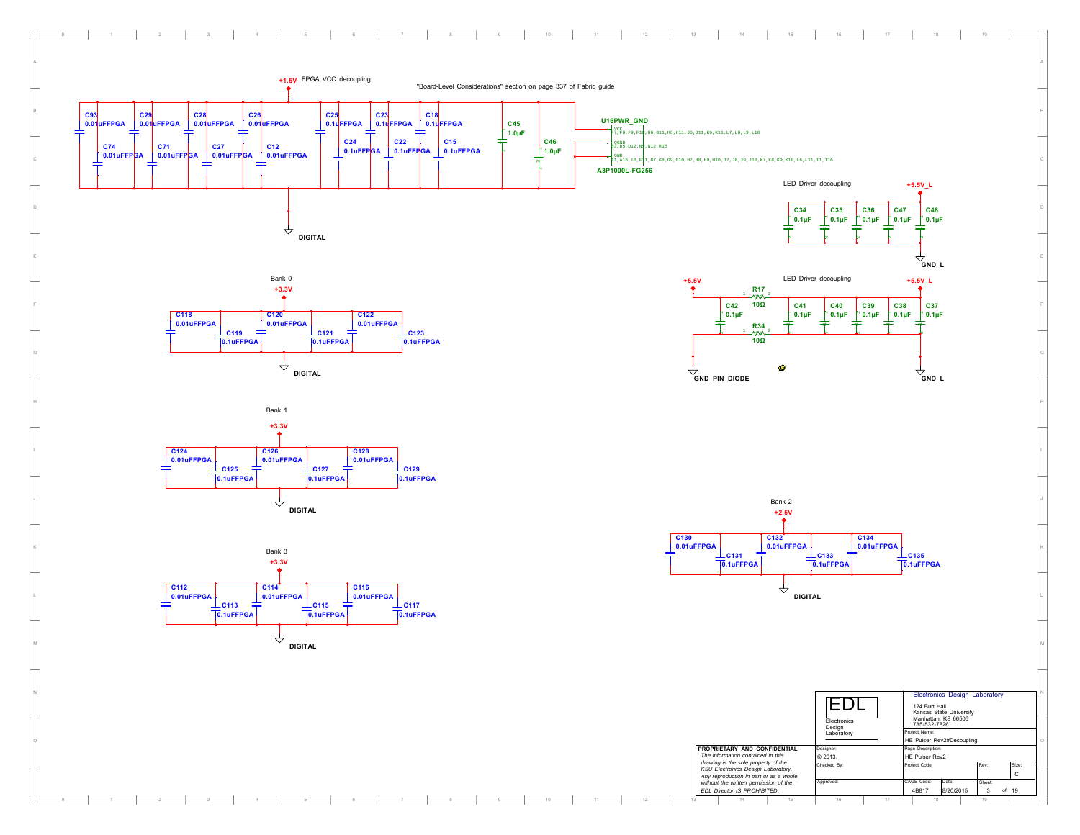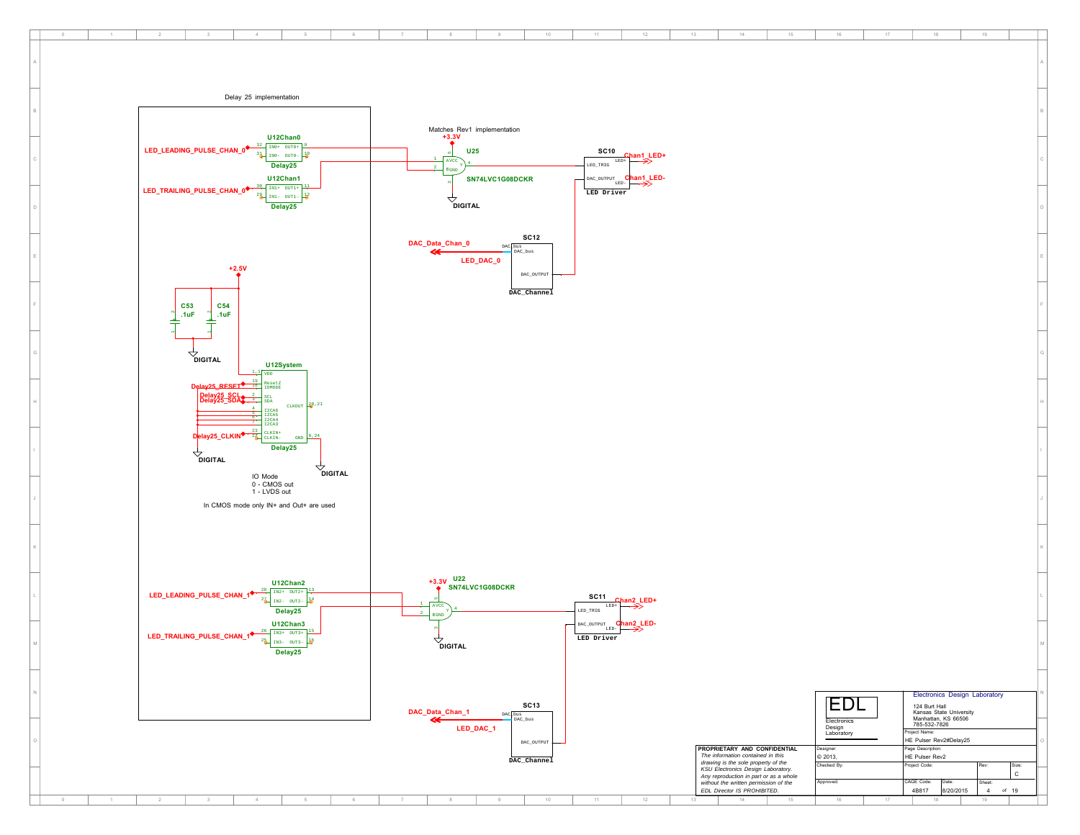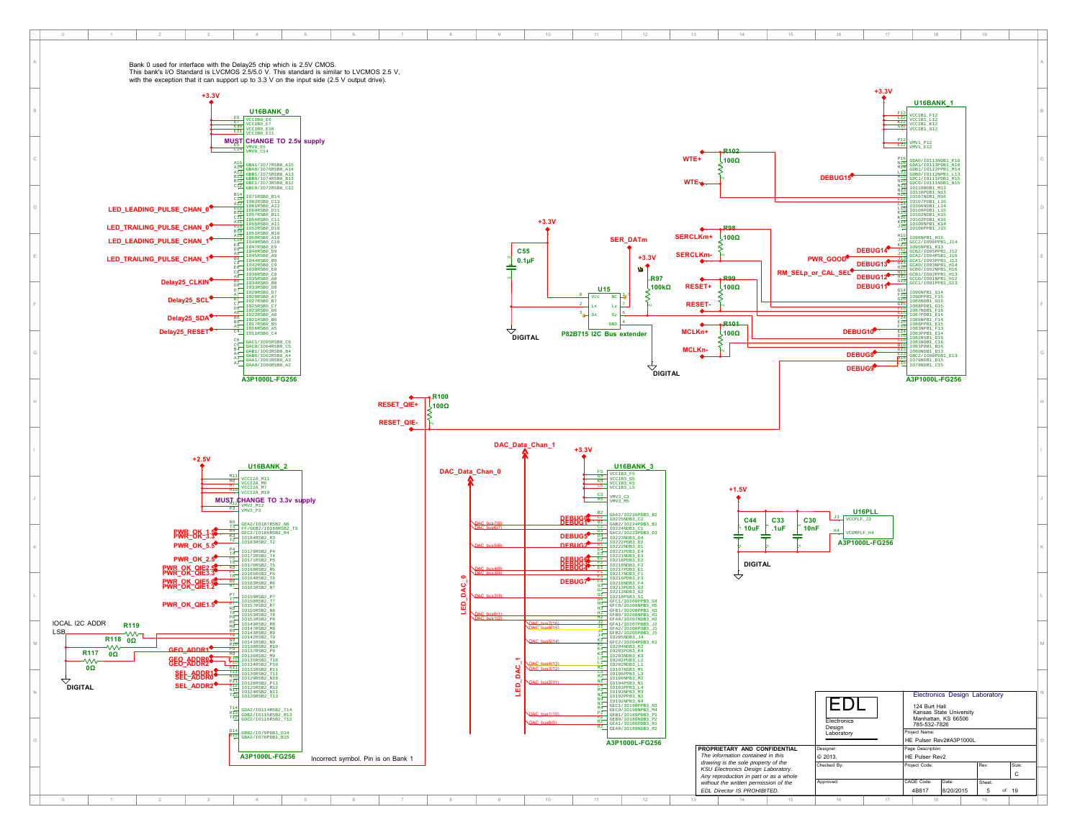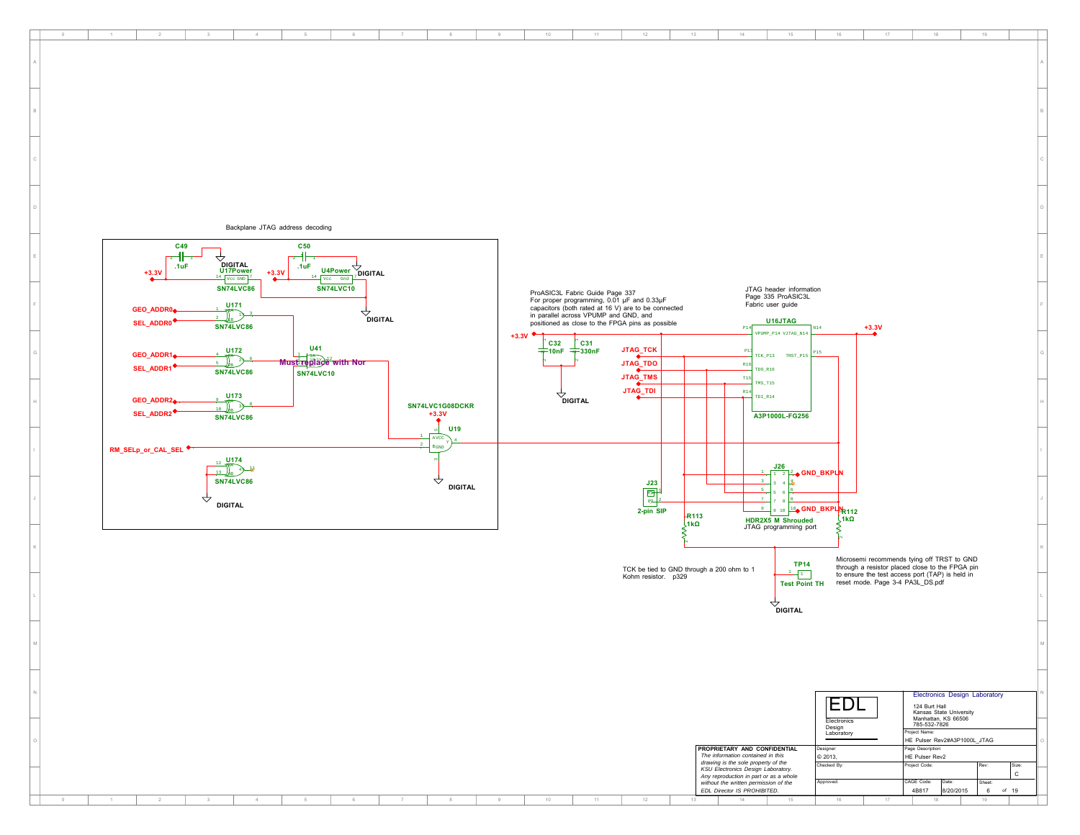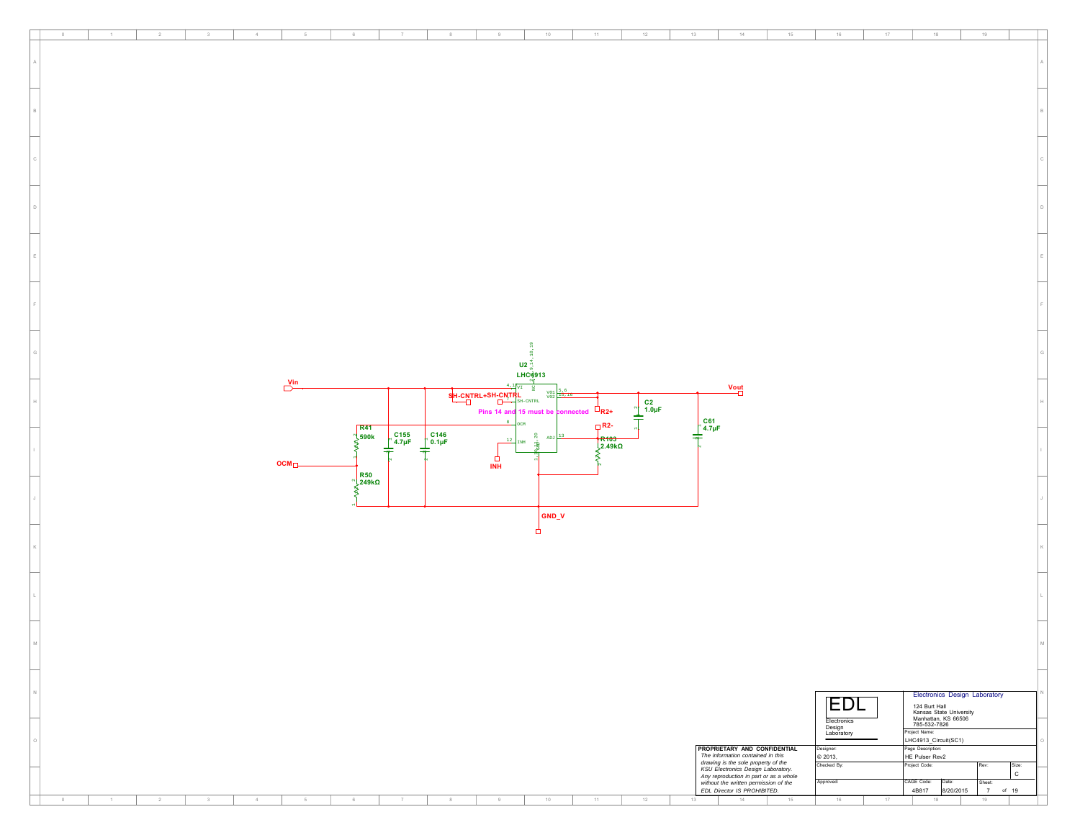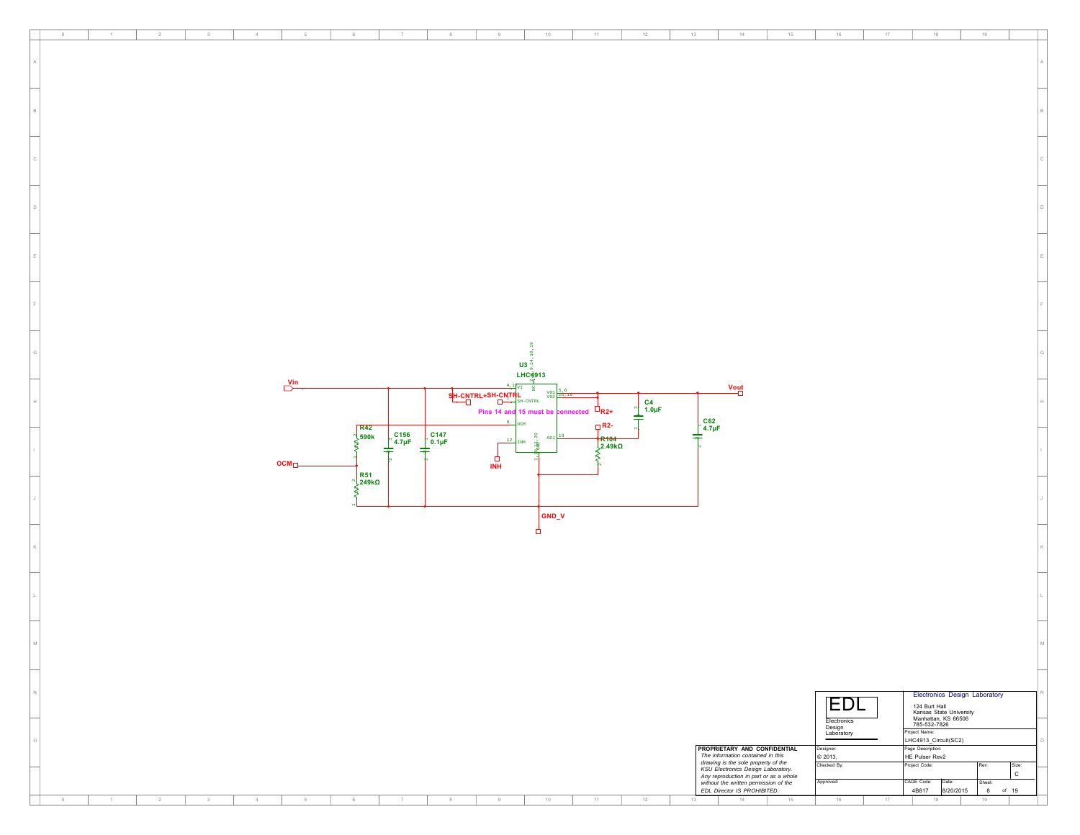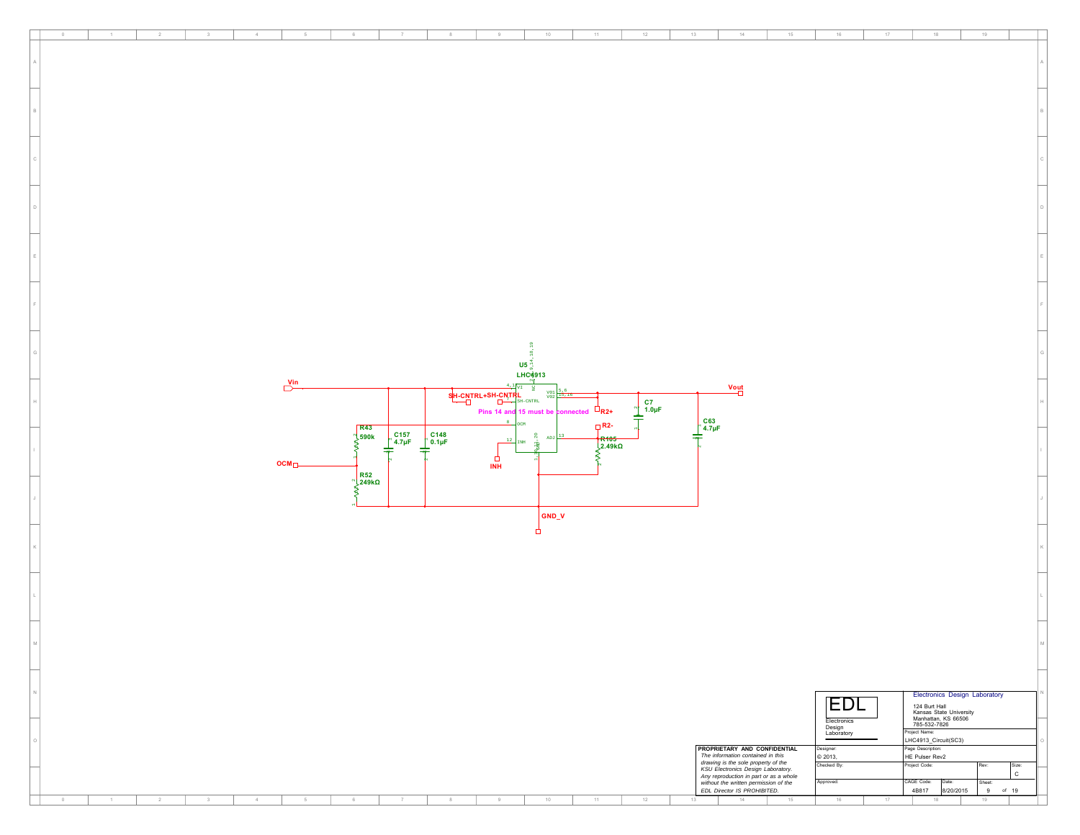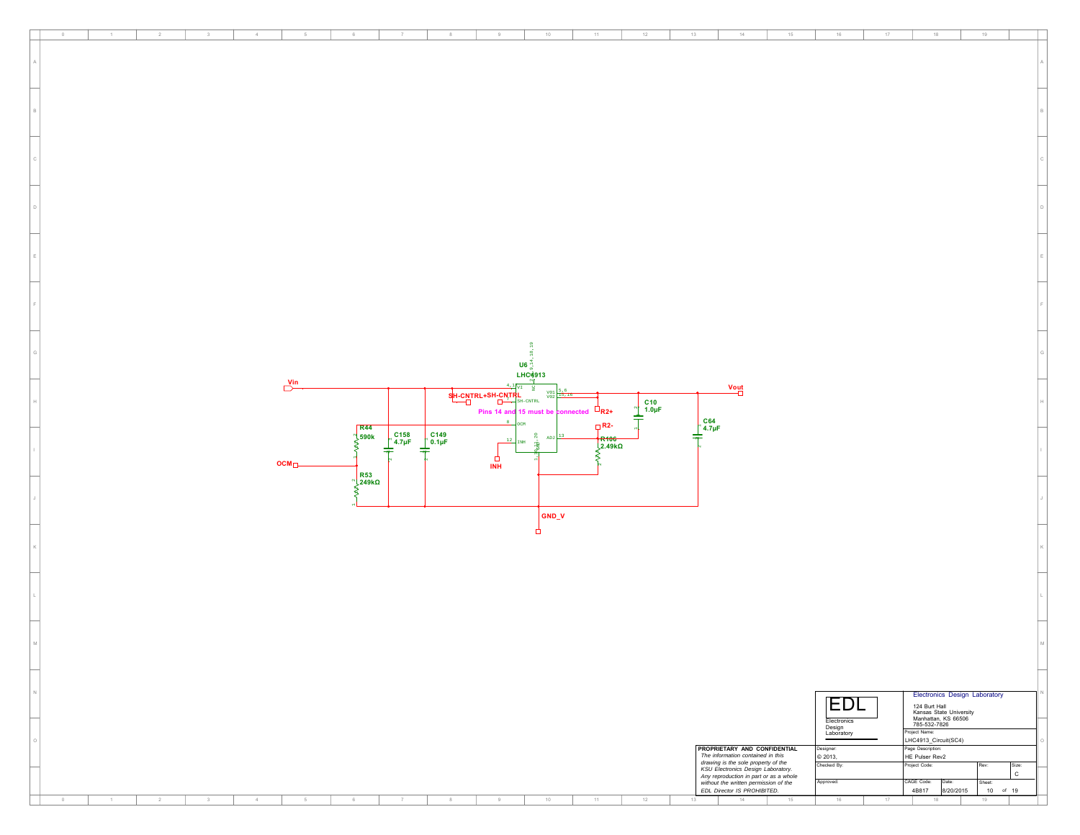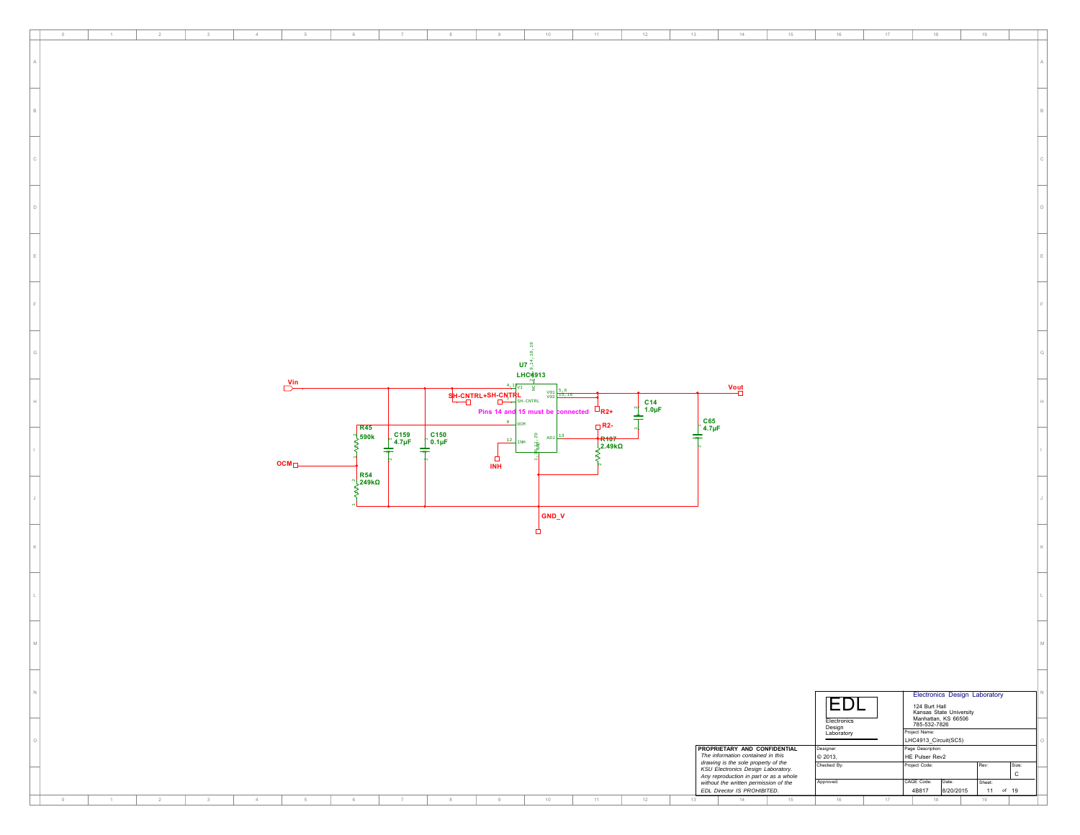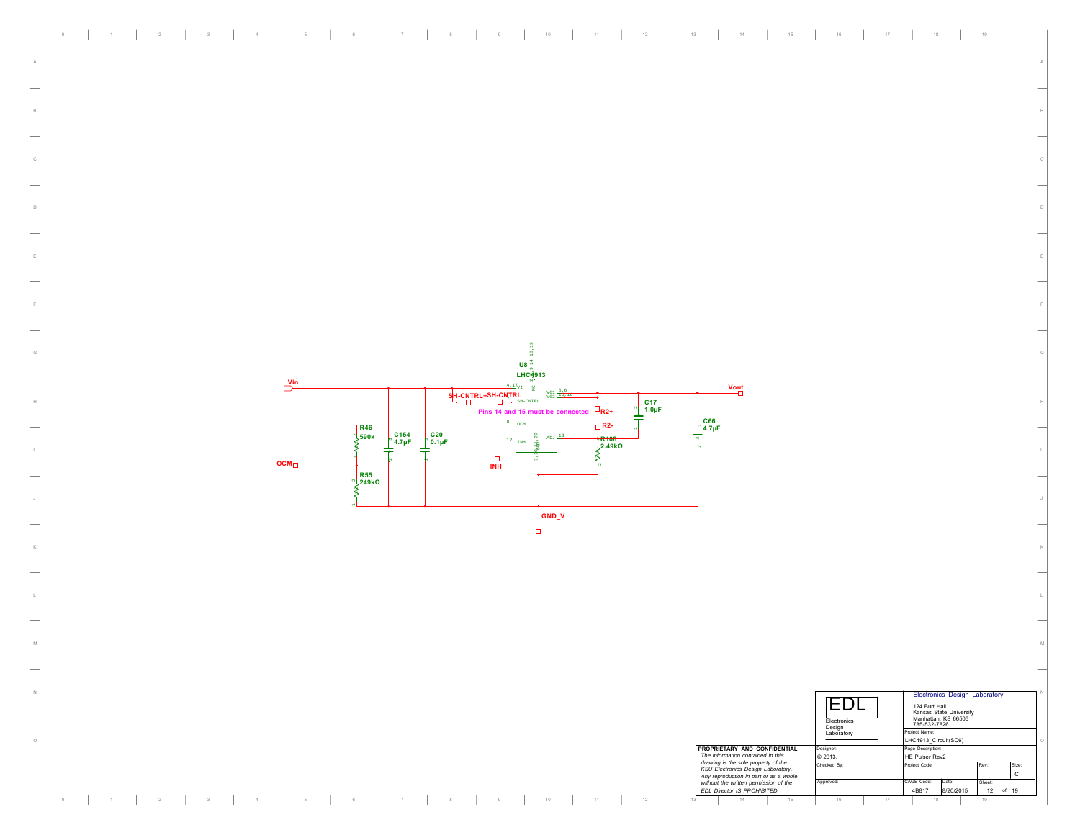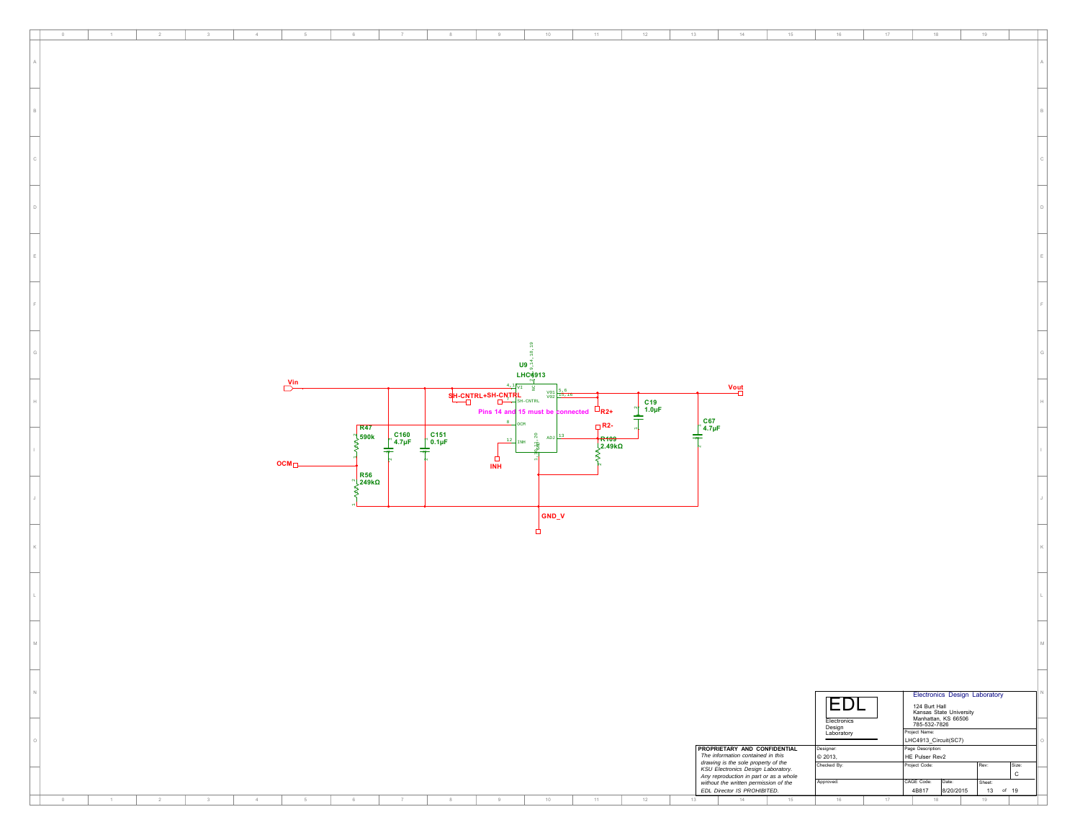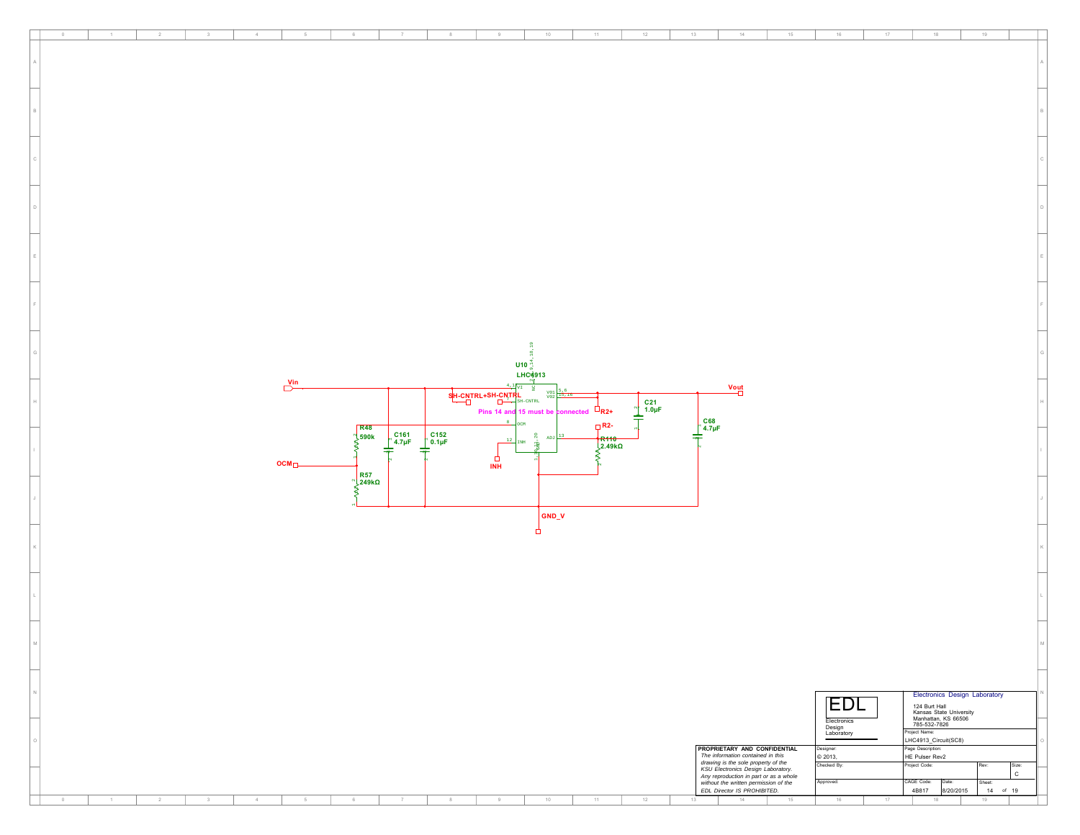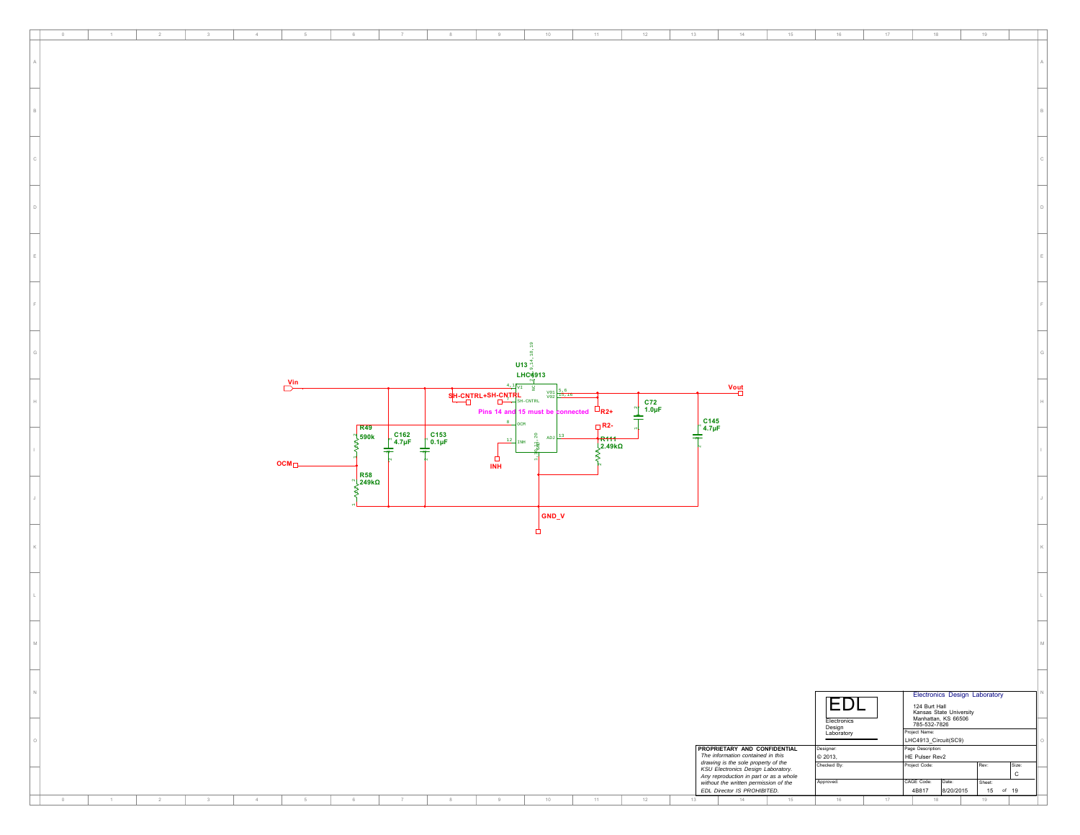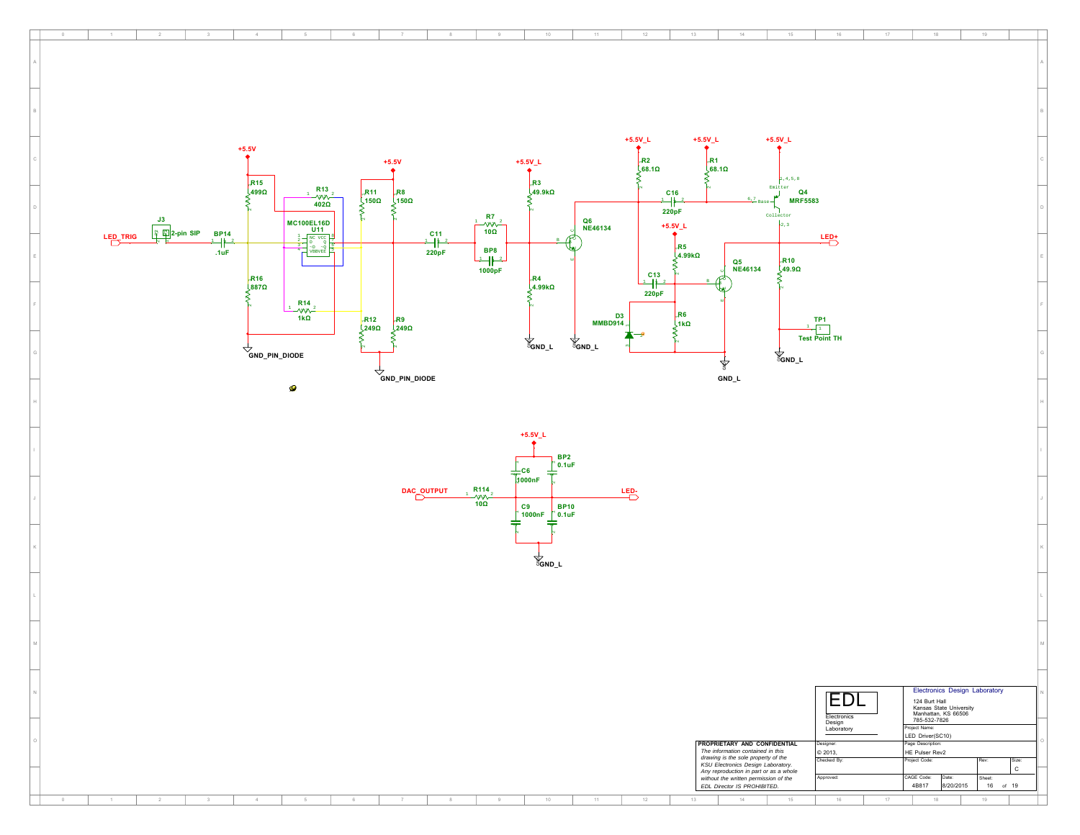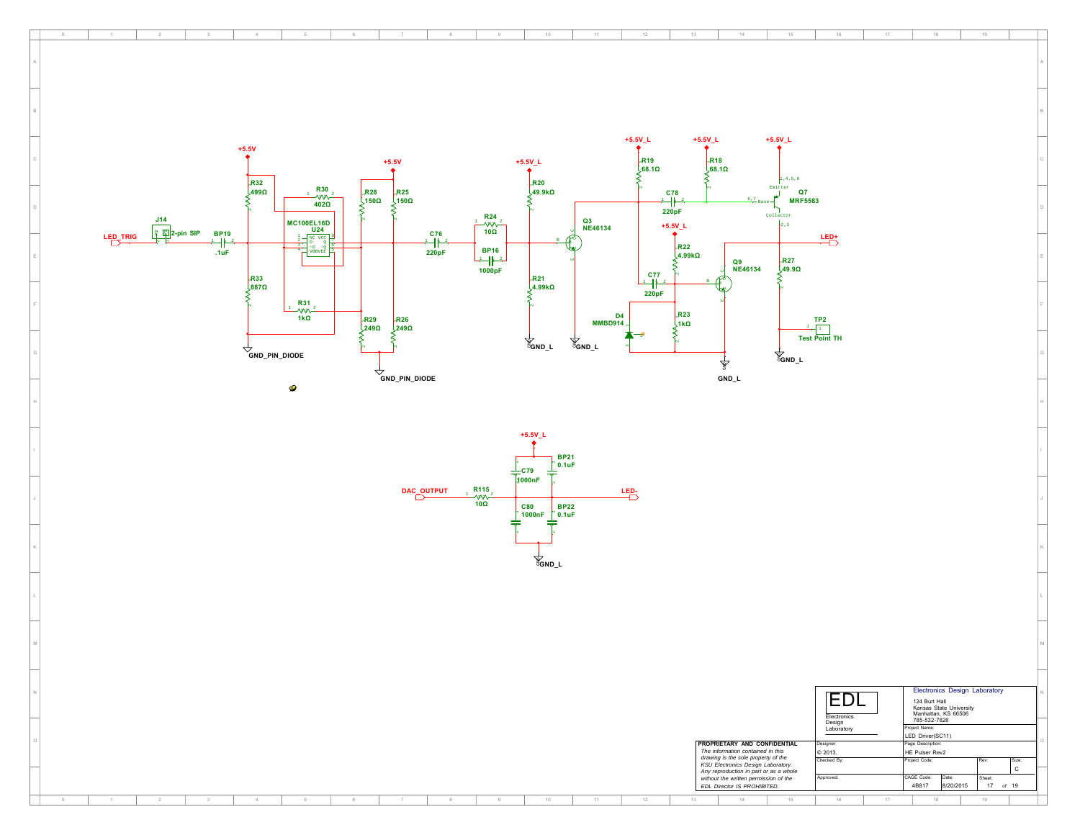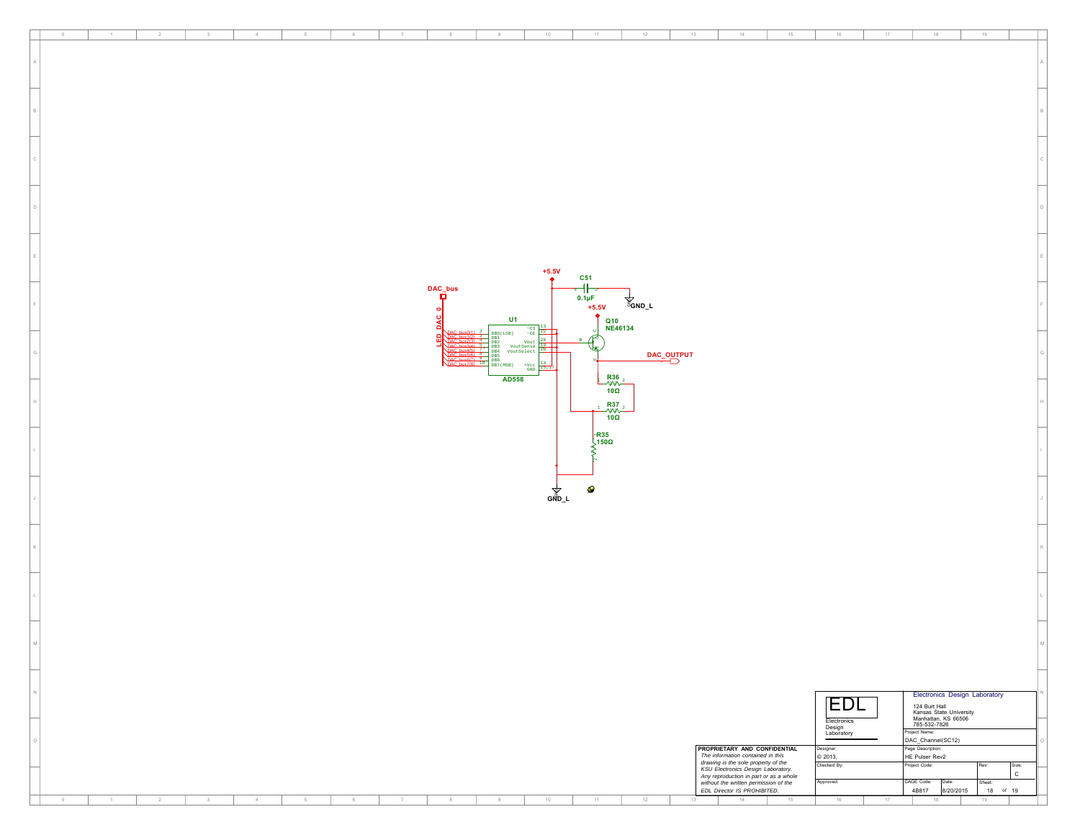| $17 -$<br>$\hfill 0$<br>$-1$<br>$\overline{2}$<br>3<br>$4 -$<br>$_{\rm 6}$<br>$\tau$<br>$^{\rm 8}$<br>9<br>$10 -$<br>$-11$<br>12<br>13<br>$14 -$<br>15<br>$16\,$<br>18<br>19                                                                                                     |  |
|----------------------------------------------------------------------------------------------------------------------------------------------------------------------------------------------------------------------------------------------------------------------------------|--|
|                                                                                                                                                                                                                                                                                  |  |
|                                                                                                                                                                                                                                                                                  |  |
|                                                                                                                                                                                                                                                                                  |  |
|                                                                                                                                                                                                                                                                                  |  |
|                                                                                                                                                                                                                                                                                  |  |
|                                                                                                                                                                                                                                                                                  |  |
|                                                                                                                                                                                                                                                                                  |  |
|                                                                                                                                                                                                                                                                                  |  |
|                                                                                                                                                                                                                                                                                  |  |
|                                                                                                                                                                                                                                                                                  |  |
|                                                                                                                                                                                                                                                                                  |  |
|                                                                                                                                                                                                                                                                                  |  |
|                                                                                                                                                                                                                                                                                  |  |
|                                                                                                                                                                                                                                                                                  |  |
|                                                                                                                                                                                                                                                                                  |  |
| $+5.5V$                                                                                                                                                                                                                                                                          |  |
| C <sub>51</sub>                                                                                                                                                                                                                                                                  |  |
| ╍┪<br>DAC_bus<br>п                                                                                                                                                                                                                                                               |  |
| 1 <del>  ∴</del><br>0.1µF<br>+5.5V<br>$\overleftarrow{\mathsf{g}}_{\mathsf{GND\_L}}$                                                                                                                                                                                             |  |
| U1<br>ပ<br>Q10<br>NE46134<br>c                                                                                                                                                                                                                                                   |  |
| $\substack{+{\rm CS}\\-{\rm CE}}$<br>DB0(LSB)<br>DB1<br>∼<br>Vout                                                                                                                                                                                                                |  |
| VoutSense<br>DB <sub>3</sub><br>DB4<br>VoutSelect<br>DAC_OUTPUT                                                                                                                                                                                                                  |  |
| $^{\rm +Vcc}_{\rm GND}$<br>DB7(MSB)                                                                                                                                                                                                                                              |  |
| $R_{\text{VV}}^{36}$<br>100<br>AD558                                                                                                                                                                                                                                             |  |
|                                                                                                                                                                                                                                                                                  |  |
| $R_{\text{VV}}^{37}$<br>100                                                                                                                                                                                                                                                      |  |
|                                                                                                                                                                                                                                                                                  |  |
| $\frac{1}{2}$ 150 $\Omega$                                                                                                                                                                                                                                                       |  |
|                                                                                                                                                                                                                                                                                  |  |
|                                                                                                                                                                                                                                                                                  |  |
| $\bullet$                                                                                                                                                                                                                                                                        |  |
| <b>GND_L</b>                                                                                                                                                                                                                                                                     |  |
|                                                                                                                                                                                                                                                                                  |  |
|                                                                                                                                                                                                                                                                                  |  |
|                                                                                                                                                                                                                                                                                  |  |
|                                                                                                                                                                                                                                                                                  |  |
|                                                                                                                                                                                                                                                                                  |  |
|                                                                                                                                                                                                                                                                                  |  |
|                                                                                                                                                                                                                                                                                  |  |
|                                                                                                                                                                                                                                                                                  |  |
|                                                                                                                                                                                                                                                                                  |  |
|                                                                                                                                                                                                                                                                                  |  |
|                                                                                                                                                                                                                                                                                  |  |
|                                                                                                                                                                                                                                                                                  |  |
| Electronics Design Laboratory                                                                                                                                                                                                                                                    |  |
| EDL<br>124 Burt Hall<br>Kansas State University<br>Manhattan, KS 66506<br>785-532-7826                                                                                                                                                                                           |  |
| Electronics<br>Design<br>Laboratory                                                                                                                                                                                                                                              |  |
| Project Name:<br>DAC_Channel(SC12)                                                                                                                                                                                                                                               |  |
| <b>PROPRIETARY AND CONFIDENTIAL</b><br>Page Description:<br>Designer:<br>The information contained in this<br>HE Pulser Rev2<br>© 2013,                                                                                                                                          |  |
| Checked By:<br>Project Code:<br>Size:<br>Rev:<br>$\mathbf{C}$                                                                                                                                                                                                                    |  |
| The momentum contained the subset of the<br>KSU Electronics Design Laboratory.<br>Any reproduction in part or as a whole<br>without the written permission of the<br>EDL Director IS PROHIBITED.<br>Approved:<br>CAGE Code:<br>Date:<br>Sheet:<br>4B817<br>8/20/2015<br>18 of 19 |  |
| 12<br>14<br>$\sim$<br>$\overline{1}$<br>$\overline{2}$<br>3<br>$\sim 4$<br>5<br>$_{\rm 6}$<br>$\,$ $\,$ $\,$<br>$^{\rm 8}$<br>$9\,$<br>$10 -$<br>$11 -$<br>13<br>$15$<br>$16\,$<br>$17\,$<br>$18\,$<br>19                                                                        |  |
|                                                                                                                                                                                                                                                                                  |  |